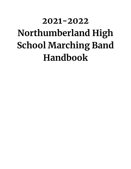# **2021-2022 Northumberland High School Marching Band Handbook**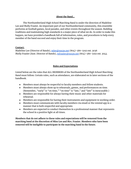# **About the Band…**

The Northumberland High School Marching Band is under the direction of Madeline Lee and Molly Frazier. An important part of our Northumberland community, this ensemble performs at football games, local parades, and other events throughout the season. Building traditions and maintaining high standards is a major piece of what we do. In order to make this happen, we have provided a handbook full of information, rules, and procedures to help every member of the band succeed and enjoy their time in the program.

# **Contact:**

Madeline Lee (Director of Bands), [mlee@nucps.net](mailto:mlee@nucps.net) (804)-580-5192 ext. 3036 Molly Frazier (Asst. Director of Bands), [mfrazier@nucps.net](mailto:mfrazier@nucps.net) (804)-580-5192 ext. 3044

#### **Rules and Expectations**

Listed below are the rules that ALL MEMBERS of the Northumberland High School Marching Band must follow. Certain rules, such as attendance, are elaborated on in later sections of the handbook.

- Members must always be respectful to faculty members and fellow students.
- Members must always show up to rehearsals, games, and performances on time. (Remember, "early" is "on time," "on time" is "late," and "late" is inexcusable.)
- Members are responsible for always having their music and other materials for rehearsal.
- Members are responsible for having their instruments and equipment in working order.
- Members must communicate with faculty members via email or the remind app in a manner that is both respectful and appropriate.
- Members are expected to conduct themselves in a professional manner that represents the school in a positive light at all times.

**Members that do not adhere to these rules and expectations will be removed from the marching band at the discretion of Miss Lee and Mrs. Frazier. Members who have been removed will be ineligible to participate in the marching band in the future.**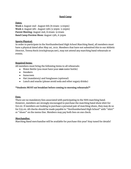# **Band Camp**

**Dates: Week 1:** August 2nd- August 6th (8:00am-3:00pm) **Week 2:** August 9th- August 13th (3:30pm-5:30pm) **Parent Meeting:** August 2nd, 8:00am-9:00am **Band Camp Preview Show:** August 13th, 6:30pm

# **Sports Physical:**

In order to participate in the Northumberland High School Marching Band, all members must have a physical dated after May 1st, 2021. Members that have not submitted this to our Athletic Director, Teresa Rock (trock@nucps.net), may not attend any marching band rehearsals or events.

# **Required Items:**

All members must bring the following items to all rehearsals:

- Water Bottle (you must have your **own** water bottle)
- Sneakers
- Sunscreen
- Hat (mandatory) and Sunglasses (optional)
- Lunch and snacks (please avoid soda and other sugary drinks)

# **\*Students MUST eat breakfast before coming to morning rehearsals!\***

# **Fees:**

There are no mandatory fees associated with participating in the NHS marching band. However, members are strongly encouraged to purchase the marching band show shirt for \$10.00. If members are looking to purchase a personal pair of marching shoes, they may do so for \$35.00. All checks should be made payable to "Northumberland High School" with "shirt" or "shoes" on the memo line. Members may pay both fees on one check.

# **Merchandise:**

Marching Band merchandise will be available for purchase this year! Stay tuned for details!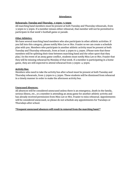#### **Attendance:**

#### **Rehearsals: Tuesday and Thursday, 3:30pm-5:30pm**

All marching band members must be present at both Tuesday and Thursday rehearsals, from 3:30pm to 5:30pm. If a member misses either rehearsal, that member will not be permitted to participate in that week's football game or parade.

#### **Other Athletics:**

We have several marching band members who also participate in other athletic activities. If you fall into this category, please notify Miss Lee or Mrs. Frazier so we can create a schedule plan with you. Members who participate in another athletic activity must be present at both Tuesday and Thursday rehearsals, from at least 3:30pm to 4:30pm. (Please note that these members will be splitting their time between marching band and the other sport that they play.) In the event of an away game conflict, students must notify Miss Lee or Mrs. Frazier that they will be missing rehearsal by Monday of that week. If a member is participating in a home game, they are still expected to attend rehearsal from 3:30pm-4:30pm.

#### **Activity Bus:**

Members who need to take the activity bus after school must be present at both Tuesday and Thursday rehearsals, from 3:30pm to 4:30pm. These students will be dismissed from rehearsal in a timely manner in order to make the afternoon activity bus.

# **Unexcused Absences:**

All absences will be considered unexcused unless there is an emergency, death in the family, serious illness, etc., or a member is attending an away game for another athletic activity and has already received permission from Miss Lee or Mrs. Frazier to miss rehearsal. Appointments will be considered unexcused, so please do not schedule any appointments for Tuesdays or Thursdays after school.

**\*Frequent unexcused absences will result in removal from the marching band.\***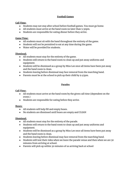# **Football Games**

#### **Call Time:**

- Students may not stay after school before football games. You must go home.
- All students must arrive at the band room no later than 5:30pm.
- Students are responsible for eating dinner before they arrive.

#### **Game Time:**

- All students must sit with the band throughout the entirety of the game.
- Students will not be permitted to eat at any time during the game.
- Water will be provided for students.

#### **Dismissal:**

- All students must stay for the entirety of the game.
- Students will return to the band room to clean up and put away uniforms and equipment.
- Students will be dismissed as a group by Miss Lee once all items have been put away and the band room is clean.
- Students leaving before dismissal may face removal from the marching band.
- Parents must be at the school to pick up their child by  $9:45$ pm.

# **Parades**

# **Call Time:**

- All students must arrive at the band room by the given call time (dependent on the event.)
- Students are responsible for eating before they arrive.

#### **Buses:**

- All students will help fill and empty buses.
- No students are dismissed until buses are empty and CLEAN

# **Dismissal:**

- All students must stay for the entirety of the parade.
- Students will return to the band room to clean up and put away uniforms and equipment.
- Students will be dismissed as a group by Miss Lee once all items have been put away and the band room is clean.
- Students leaving before dismissal may face removal from the marching band.
- Students will text their rides when we leave the parade venue and then when we are 30 minutes from arriving at school.
- Parents will pick up within 30 minutes of us arriving back at school